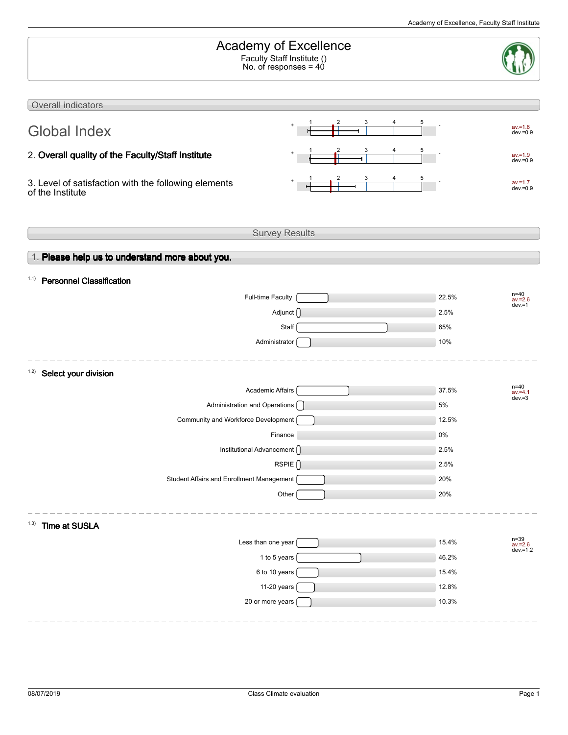| Academy of Excellence<br>Faculty Staff Institute ()<br>No. of responses = 40 |        |                                 |
|------------------------------------------------------------------------------|--------|---------------------------------|
| Overall indicators                                                           |        |                                 |
| $\ddot{}$<br><b>Global Index</b>                                             | 3<br>5 | $av = 1.8$<br>$dev = 0.9$       |
| 2. Overall quality of the Faculty/Staff Institute                            | 3      | $av = 1.9$<br>$dev = 0.9$       |
| 3. Level of satisfaction with the following elements<br>of the Institute     |        | $av = 1.7$<br>$dev = 0.9$       |
| <b>Survey Results</b>                                                        |        |                                 |
| 1. Please help us to understand more about you.                              |        |                                 |
| <b>Personnel Classification</b><br>1.1)                                      |        |                                 |
| <b>Full-time Faculty</b>                                                     |        | $n = 40$<br>22.5%<br>$av = 2.6$ |
| Adjunct <sub>()</sub>                                                        |        | $dev = 1$<br>2.5%               |
| Staff                                                                        |        | 65%                             |
| Administrator                                                                |        | 10%                             |
| 1.2)<br>Select your division                                                 |        |                                 |
| <b>Academic Affairs</b>                                                      |        | $n = 40$<br>37.5%<br>$av = 4.1$ |
| Administration and Operations [                                              |        | $dev = 3$<br>5%                 |
| Community and Workforce Development                                          |        | 12.5%                           |
| Finance                                                                      |        | 0%                              |
| Institutional Advancement ()                                                 |        | 2.5%                            |
| RSPIE <sup>()</sup>                                                          |        | 2.5%                            |
| Student Affairs and Enrollment Management                                    |        | 20%                             |
| Other                                                                        |        | 20%                             |
| (1.3)<br>Time at SUSLA                                                       |        |                                 |
| Less than one year                                                           |        | n=39<br>av.=2.6<br>15.4%        |
| 1 to 5 years                                                                 |        | $dev = 1.2$<br>46.2%            |
| 6 to 10 years                                                                |        | 15.4%                           |
| 11-20 years                                                                  |        | 12.8%                           |
| 20 or more years                                                             |        | 10.3%                           |
|                                                                              |        |                                 |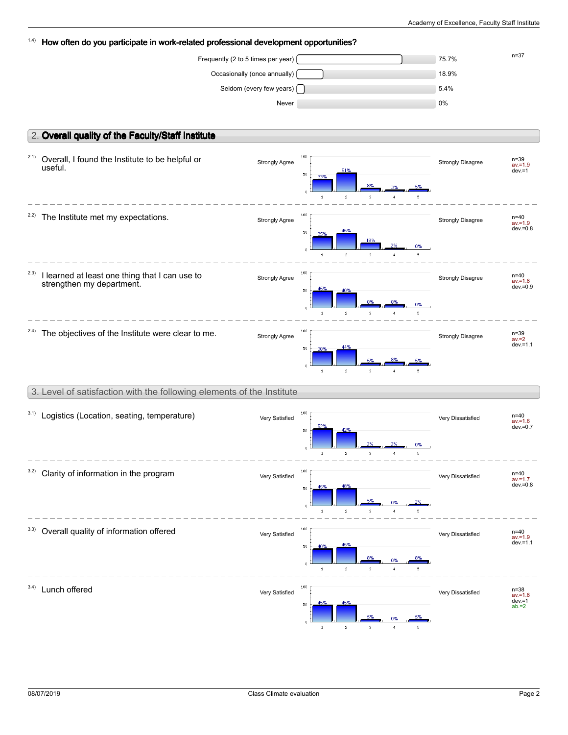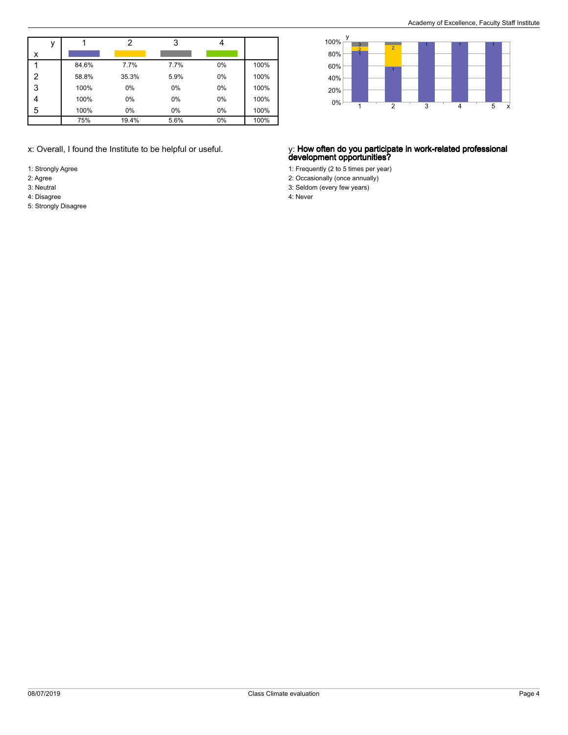|   | v |       | າ     | 3    |    |      |
|---|---|-------|-------|------|----|------|
| x |   |       |       |      |    |      |
|   |   | 84.6% | 7.7%  | 7.7% | 0% | 100% |
| 2 |   | 58.8% | 35.3% | 5.9% | 0% | 100% |
| 3 |   | 100%  | 0%    | 0%   | 0% | 100% |
| 4 |   | 100%  | 0%    | 0%   | 0% | 100% |
| 5 |   | 100%  | 0%    | 0%   | 0% | 100% |
|   |   | 75%   | 19.4% | 5.6% | 0% | 100% |

- 1: Strongly Agree
- 2: Agree
- 3: Neutral 4: Disagree
- 5: Strongly Disagree



### x: Overall, I found the Institute to be helpful or useful. y: **How often do you participate in work-related professional development opportunities?**

1: Frequently (2 to 5 times per year)

- 2: Occasionally (once annually)
- 3: Seldom (every few years)

4: Never